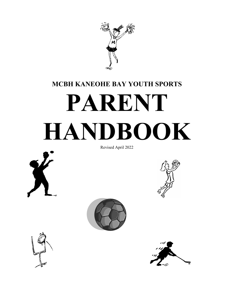

# **MCBH KANEOHE BAY YOUTH SPORTS PARENT HANDBOOK**

Revised April 2022







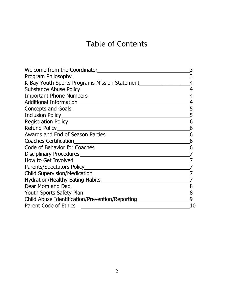# Table of Contents

| Welcome from the Coordinator                                                  |    |
|-------------------------------------------------------------------------------|----|
|                                                                               |    |
| K-Bay Youth Sports Programs Mission Statement                                 |    |
|                                                                               |    |
| Important Phone Numbers                                                       |    |
| Additional Information <u>Communication</u>                                   |    |
|                                                                               | 5  |
|                                                                               | 5  |
|                                                                               | 6  |
|                                                                               | 6  |
| Awards and End of Season Parties                                              | 6  |
| <b>Coaches Certification</b><br><u> 1989 - Andrea Albert III, martin a bh</u> | 6  |
|                                                                               | 6  |
|                                                                               |    |
|                                                                               |    |
|                                                                               |    |
|                                                                               |    |
|                                                                               |    |
| Dear Mom and Dad <b>Dear Example 20</b>                                       |    |
| Youth Sports Safety Plan                                                      | 8  |
| Child Abuse Identification/Prevention/Reporting                               | 9  |
| <b>Parent Code of Ethics</b>                                                  | 10 |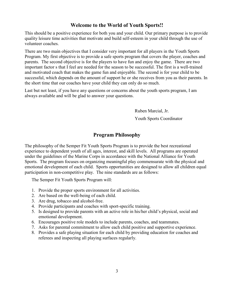# **Welcome to the World of Youth Sports!!**

This should be a positive experience for both you and your child. Our primary purpose is to provide quality leisure time activities that motivate and build self-esteem in your child through the use of volunteer coaches.

There are two main objectives that I consider very important for all players in the Youth Sports Program. My first objective is to provide a safe sports program that covers the player, coaches and parents. The second objective is for the players to have fun and enjoy the game. There are two important factor s that I feel are needed for the season to be successful. The first is a well-trained and motivated coach that makes the game fun and enjoyable. The second is for your child to be successful, which depends on the amount of support he or she receives from you as their parents. In the short time that our coaches have your child they can only do so much.

Last but not least, if you have any questions or concerns about the youth sports program, I am always available and will be glad to answer your questions.

> Ruben Marcial, Jr. Youth Sports Coordinator

# **Program Philosophy**

The philosophy of the Semper Fit Youth Sports Program is to provide the best recreational experience to dependent youth of all ages, interest, and skill levels. All programs are operated under the guidelines of the Marine Corps in accordance with the National Alliance for Youth Sports. The program focuses on organizing meaningful play commensurate with the physical and emotional development of each child. Sports opportunities are designed to allow all children equal participation in non-competitive play. The nine standards are as follows:

The Semper Fit Youth Sports Program will:

- 1. Provide the proper sports environment for all activities.
- 2. Are based on the well-being of each child.
- 3. Are drug, tobacco and alcohol-free.
- 4. Provide participants and coaches with sport-specific training.
- 5. Is designed to provide parents with an active role in his/her child's physical, social and emotional development.
- 6. Encourages positive role models to include parents, coaches, and teammates.
- 7. Asks for parental commitment to allow each child positive and supportive experience.
- 8. Provides a safe playing situation for each child by providing education for coaches and referees and inspecting all playing surfaces regularly.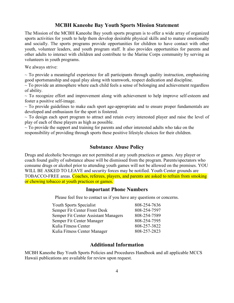#### **MCBH Kaneohe Bay Youth Sports Mission Statement**

The Mission of the MCBH Kaneohe Bay youth sports program is to offer a wide array of organized sports activities for youth to help them develop desirable physical skills and to mature emotionally and socially. The sports programs provide opportunities for children to have contact with other youth, volunteer leaders, and youth program staff. It also provides opportunities for parents and other adults to interact with children and contribute to the Marine Corps community by serving as volunteers in youth programs.

We always strive:

 $\sim$  To provide a meaningful experience for all participants through quality instruction, emphasizing good sportsmanship and equal play along with teamwork, respect dedication and discipline.

 $\sim$  To provide an atmosphere where each child feels a sense of belonging and achievement regardless of ability.

 $\sim$  To recognize effort and improvement along with achievement to help improve self-esteem and foster a positive self-image.

 $\sim$  To provide guidelines to make each sport age-appropriate and to ensure proper fundamentals are developed and enthusiasm for the sport is fostered.

 $\sim$  To design each sport program to attract and retain every interested player and raise the level of play of each of these players as high as possible.

 $\sim$  To provide the support and training for parents and other interested adults who take on the responsibility of providing through sports these positive lifestyle choices for their children.

#### **Substance Abuse Policy**

Drugs and alcoholic beverages are not permitted at any youth practices or games. Any player or coach found guilty of substance abuse will be dismissed from the program. Parents/spectators who consume drugs or alcohol prior to attending youth games will not be allowed on the premises. YOU WILL BE ASKED TO LEAVE and security forces may be notified. Youth Center grounds are TOBACCO-FREE areas. Coaches, referees, players, and parents are asked to refrain from smoking or chewing tobacco at youth practices or games.

#### **Important Phone Numbers**

Please feel free to contact us if you have any questions or concerns.

| 808-254-7636 |
|--------------|
| 808-254-7597 |
| 808-254-7589 |
| 808-254-7595 |
| 808-257-3822 |
| 808-257-2823 |
|              |

# **Additional Information**

MCBH Kaneohe Bay Youth Sports Policies and Procedures Handbook and all applicable MCCS Hawaii publications are available for review upon request.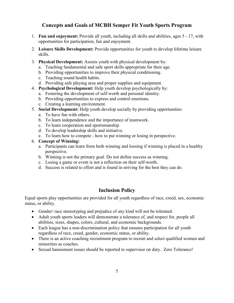# **Concepts and Goals of MCBH Semper Fit Youth Sports Program**

- 1. **Fun and enjoyment:** Provide all youth, including all skills and abilities, ages 5 17, with opportunities for participation, fun and enjoyment.
- 2. **Leisure Skills Development:** Provide opportunities for youth to develop lifetime leisure skills.
- 3. **Physical Development:** Assists youth with physical development by:
	- a. Teaching fundamental and safe sport skills appropriate for their age.
	- b. Providing opportunities to improve their physical conditioning.
	- c. Teaching sound health habits.
	- d. Providing safe playing area and proper supplies and equipment.
- 4. **Psychological Development:** Help youth develop psychologically by:
	- a. Fostering the development of self-worth and personal identity.
	- b. Providing opportunities to express and control emotions.
	- c. Creating a learning environment.
- 5. **Social Development:** Help youth develop socially by providing opportunities:
	- a. To have fun with others.
	- b. To learn independence and the importance of teamwork.
	- c. To learn cooperation and sportsmanship.
	- d. To develop leadership skills and initiative.
	- e. To learn how to compete how to put winning or losing in perspective.
- 6. **Concept of Winning:**
	- a. Participants can learn from both winning and loosing if winning is placed in a healthy perspective.
	- b. Winning is not the primary goal. Do not define success as winning.
	- c. Losing a game or event is not a reflection on their self-worth.
	- d. Success is related to effort and is found in striving for the best they can do.

# **Inclusion Policy**

Equal sports play opportunities are provided for all youth regardless of race, creed, sex, economic status, or ability.

- Gender/ race stereotyping and prejudice of any kind will not be tolerated.
- Adult youth sports leaders will demonstrate a tolerance of, and respect for, people all abilities, sizes, shapes, colors, cultural, and economic backgrounds.
- Each league has a non-discrimination policy that ensures participation for all youth regardless of race, creed, gender, economic status, or ability.
- There is an active coaching recruitment program to recruit and select qualified women and minorities as coaches.
- Sexual harassment issues should be reported to supervisor on duty. Zero Tolerance!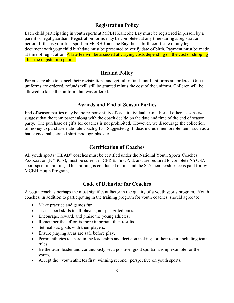#### **Registration Policy**

Each child participating in youth sports at MCBH Kaneohe Bay must be registered in person by a parent or legal guardian. Registration forms may be completed at any time during a registration period. If this is your first sport on MCBH Kaneohe Bay then a birth certificate or any legal document with your child birthdate must be presented to verify date of birth. Payment must be made at time of registration. A late fee will be assessed at varying costs depending on the cost of shipping after the registration period.

# **Refund Policy**

Parents are able to cancel their registrations and get full refunds until uniforms are ordered. Once uniforms are ordered, refunds will still be granted minus the cost of the uniform. Children will be allowed to keep the uniform that was ordered.

#### **Awards and End of Season Parties**

End of season parties may be the responsibility of each individual team. For all other seasons we suggest that the team parent along with the coach decide on the date and time of the end of season party. The purchase of gifts for coaches is not prohibited. However, we discourage the collection of money to purchase elaborate coach gifts. Suggested gift ideas include memorable items such as a hat, signed ball, signed shirt, photographs, etc.

#### **Certification of Coaches**

All youth sports "HEAD" coaches must be certified under the National Youth Sports Coaches Association (NYSCA), must be current in CPR & First Aid, and are required to complete NYCSA sport specific training. This training is conducted online and the \$25 membership fee is paid for by MCBH Youth Programs.

# **Code of Behavior for Coaches**

A youth coach is perhaps the most significant factor in the quality of a youth sports program. Youth coaches, in addition to participating in the training program for youth coaches, should agree to:

- Make practice and games fun.
- Teach sport skills to all players, not just gifted ones.
- Encourage, reward, and praise the young athletes.
- Remember that effort is more important than results.
- Set realistic goals with their players.
- Ensure playing areas are safe before play.
- Permit athletes to share in the leadership and decision making for their team, including team rules.
- Be the team leader and continuously set a positive, good sportsmanship example for the youth.
- Accept the "youth athletes first, winning second" perspective on youth sports.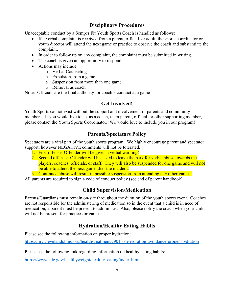# **Disciplinary Procedures**

Unacceptable conduct by a Semper Fit Youth Sports Coach is handled as follows:

- If a verbal complaint is received from a parent, official, or adult, the sports coordinator or youth director will attend the next game or practice to observe the coach and substantiate the complaint.
- In order to follow up on any complaint, the complaint must be submitted in writing.
- The coach is given an opportunity to respond.
- Actions may include:
	- o Verbal Counseling
	- o Expulsion from a game
	- o Suspension from more than one game
	- o Removal as coach

Note: Officials are the final authority for coach's conduct at a game

# **Get Involved!**

Youth Sports cannot exist without the support and involvement of parents and community members. If you would like to act as a coach, team parent, official, or other supporting member, please contact the Youth Sports Coordinator. We would love to include you in our program!

# **Parents/Spectators Policy**

Spectators are a vital part of the youth sports program. We highly encourage parent and spectator support; however NEGATIVE comments will not be tolerated.

- 1. First offense: Offender will be given a verbal warning!
- 2. Second offense: Offender will be asked to leave the park for verbal abuse towards the players, coaches, officials, or staff. They will also be suspended for one game and will not be able to attend the next game after the incident.
- 3. Continued abuse will result in possible suspension from attending any other games.

All parents are required to sign a code of conduct policy (see end of parent handbook).

# **Child Supervision/Medication**

Parents/Guardians must remain on-site throughout the duration of the youth sports event. Coaches are not responsible for the administering of medication so in the event that a child is in need of medication, a parent must be present to administer. Also, please notify the coach when your child will not be present for practices or games.

# **Hydration/Healthy Eating Habits**

Please see the following information on proper hydration:

<https://my.clevelandclinic.org/health/treatments/9013-dehydration-avoidance-proper-hydration>

Please see the following link regarding information on healthy eating habits:

[https://www.cdc.gov/healthyweight/healthy\\_eating/index.html](https://www.cdc.gov/healthyweight/healthy_eating/index.html)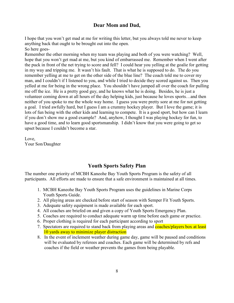# **Dear Mom and Dad,**

I hope that you won't get mad at me for writing this letter, but you always told me never to keep anything back that ought to be brought out into the open.

So here goes-

Remember the other morning when my team was playing and both of you were watching? Well, hope that you won't get mad at me, but you kind of embarrassed me. Remember when I went after the puck in front of the net trying to score and fell? I could hear you yelling at the goalie for getting in my way and tripping me. It wasn't his fault. That is what he is supposed to do. The do you remember yelling at me to get on the other side of the blue line? The coach told me to cover my man, and I couldn't if I listened to you, and while I tried to decide they scored against us. Then you yelled at me for being in the wrong place. You shouldn't have jumped all over the coach for pulling me off the ice. He is a pretty good guy, and he knows what he is doing. Besides, he is just a volunteer coming down at all hours of the day helping kids, just because he loves sports…and then neither of you spoke to me the whole way home. I guess you were pretty sore at me for not getting a goal. I tried awfully hard, but I guess I am a crummy hockey player. But I love the game; it is lots of fun being with the other kids and learning to compete. It is a good sport, but how can I learn if you don't show me a good example? And, anyhow, I thought I was playing hockey for fun, to have a good time, and to learn good sportsmanship. I didn't know that you were going to get so upset because I couldn't become a star.

Love, Your Son/Daughter

# **Youth Sports Safety Plan**

The number one priority of MCBH Kaneohe Bay Youth Sports Program is the safety of all participants. All efforts are made to ensure that a safe environment is maintained at all times.

- 1. MCBH Kaneohe Bay Youth Sports Program uses the guidelines in Marine Corps Youth Sports Guide.
- 2. All playing areas are checked before start of season with Semper Fit Youth Sports.
- 3. Adequate safety equipment is made available for each sport.
- 4. All coaches are briefed on and given a copy of Youth Sports Emergency Plan.
- 5. Coaches are required to conduct adequate warm up time before each game or practice.
- 6. Proper clothing is required for each participant according to sport
- 7. Spectators are required to stand back from playing areas and **coaches/players box at least** 10 yards away to minimize player distraction
- 8. In the event of inclement weather during game day, game will be paused and conditions will be evaluated by referees and coaches. Each game will be determined by refs and coaches if the field or weather prevents the games from being playable.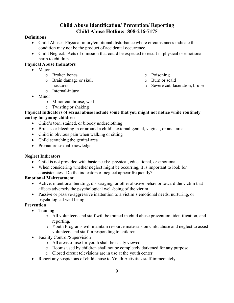# **Child Abuse Identification/ Prevention/ Reporting Child Abuse Hotline: 808-216-7175**

#### **Definitions**

- Child Abuse: Physical injury/emotional disturbance where circumstances indicate this condition may not be the product of accidental occurrence.
- Child Neglect: Acts of omission that could be expected to result in physical or emotional harm to children.

# **Physical Abuse Indicators**

- Major
	- o Broken bones
	- o Brain damage or skull fractures
	- o Internal-injury
- Minor
	- o Minor cut, bruise, welt
	- o Twisting or shaking

# **Physical Indicators of sexual abuse include some that you might not notice while routinely caring for young children**

- Child's torn, stained, or bloody underclothing
- Bruises or bleeding in or around a child's external genital, vaginal, or anal area
- Child in obvious pain when walking or sitting
- Child scratching the genital area
- Premature sexual knowledge

#### **Neglect Indicators**

- Child is not provided with basic needs: physical, educational, or emotional
- When considering whether neglect might be occurring, it is important to look for consistencies. Do the indicators of neglect appear frequently?

#### **Emotional Maltreatment**

- Active, intentional berating, disparaging, or other abusive behavior toward the victim that affects adversely the psychological well-being of the victim
- Passive or passive-aggressive inattention to a victim's emotional needs, nurturing, or psychological well being

# **Prevention**

- Training
	- o All volunteers and staff will be trained in child abuse prevention, identification, and reporting.
	- o Youth Programs will maintain resource materials on child abuse and neglect to assist volunteers and staff in responding to children.
- Facility Control/Supervision
	- o All areas of use for youth shall be easily viewed
	- o Rooms used by children shall not be completely darkened for any purpose
	- o Closed circuit televisions are in use at the youth center.
- Report any suspicions of child abuse to Youth Activities staff immediately.
- o Poisoning
- o Burn or scald
- o Severe cut, laceration, bruise